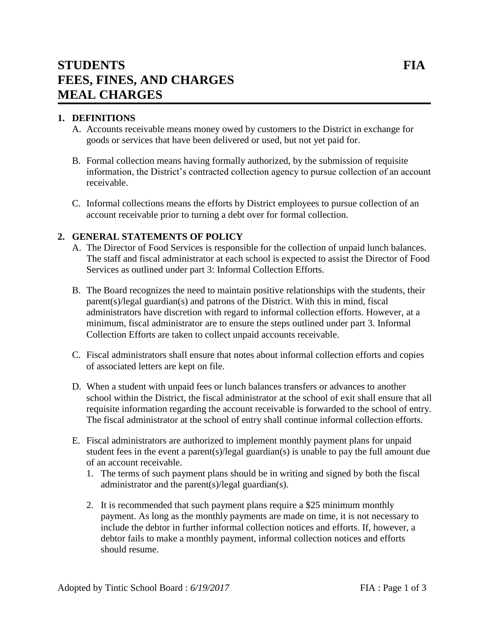# **STUDENTS FIA FEES, FINES, AND CHARGES MEAL CHARGES**

# **1. DEFINITIONS**

- A. Accounts receivable means money owed by customers to the District in exchange for goods or services that have been delivered or used, but not yet paid for.
- B. Formal collection means having formally authorized, by the submission of requisite information, the District's contracted collection agency to pursue collection of an account receivable.
- C. Informal collections means the efforts by District employees to pursue collection of an account receivable prior to turning a debt over for formal collection.

#### **2. GENERAL STATEMENTS OF POLICY**

- A. The Director of Food Services is responsible for the collection of unpaid lunch balances. The staff and fiscal administrator at each school is expected to assist the Director of Food Services as outlined under part 3: Informal Collection Efforts.
- B. The Board recognizes the need to maintain positive relationships with the students, their parent(s)/legal guardian(s) and patrons of the District. With this in mind, fiscal administrators have discretion with regard to informal collection efforts. However, at a minimum, fiscal administrator are to ensure the steps outlined under part 3. Informal Collection Efforts are taken to collect unpaid accounts receivable.
- C. Fiscal administrators shall ensure that notes about informal collection efforts and copies of associated letters are kept on file.
- D. When a student with unpaid fees or lunch balances transfers or advances to another school within the District, the fiscal administrator at the school of exit shall ensure that all requisite information regarding the account receivable is forwarded to the school of entry. The fiscal administrator at the school of entry shall continue informal collection efforts.
- E. Fiscal administrators are authorized to implement monthly payment plans for unpaid student fees in the event a parent(s)/legal guardian(s) is unable to pay the full amount due of an account receivable.
	- 1. The terms of such payment plans should be in writing and signed by both the fiscal administrator and the parent(s)/legal guardian(s).
	- 2. It is recommended that such payment plans require a \$25 minimum monthly payment. As long as the monthly payments are made on time, it is not necessary to include the debtor in further informal collection notices and efforts. If, however, a debtor fails to make a monthly payment, informal collection notices and efforts should resume.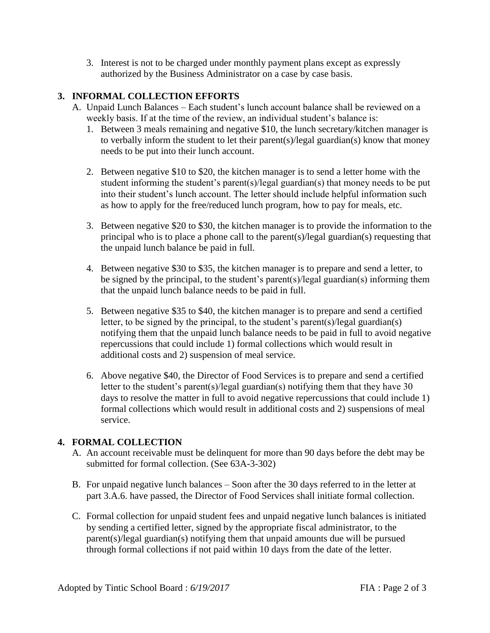3. Interest is not to be charged under monthly payment plans except as expressly authorized by the Business Administrator on a case by case basis.

## **3. INFORMAL COLLECTION EFFORTS**

- A. Unpaid Lunch Balances Each student's lunch account balance shall be reviewed on a weekly basis. If at the time of the review, an individual student's balance is:
	- 1. Between 3 meals remaining and negative \$10, the lunch secretary/kitchen manager is to verbally inform the student to let their parent(s)/legal guardian(s) know that money needs to be put into their lunch account.
	- 2. Between negative \$10 to \$20, the kitchen manager is to send a letter home with the student informing the student's parent(s)/legal guardian(s) that money needs to be put into their student's lunch account. The letter should include helpful information such as how to apply for the free/reduced lunch program, how to pay for meals, etc.
	- 3. Between negative \$20 to \$30, the kitchen manager is to provide the information to the principal who is to place a phone call to the parent(s)/legal guardian(s) requesting that the unpaid lunch balance be paid in full.
	- 4. Between negative \$30 to \$35, the kitchen manager is to prepare and send a letter, to be signed by the principal, to the student's parent(s)/legal guardian(s) informing them that the unpaid lunch balance needs to be paid in full.
	- 5. Between negative \$35 to \$40, the kitchen manager is to prepare and send a certified letter, to be signed by the principal, to the student's parent(s)/legal guardian(s) notifying them that the unpaid lunch balance needs to be paid in full to avoid negative repercussions that could include 1) formal collections which would result in additional costs and 2) suspension of meal service.
	- 6. Above negative \$40, the Director of Food Services is to prepare and send a certified letter to the student's parent(s)/legal guardian(s) notifying them that they have 30 days to resolve the matter in full to avoid negative repercussions that could include 1) formal collections which would result in additional costs and 2) suspensions of meal service.

## **4. FORMAL COLLECTION**

- A. An account receivable must be delinquent for more than 90 days before the debt may be submitted for formal collection. (See 63A-3-302)
- B. For unpaid negative lunch balances Soon after the 30 days referred to in the letter at part 3.A.6. have passed, the Director of Food Services shall initiate formal collection.
- C. Formal collection for unpaid student fees and unpaid negative lunch balances is initiated by sending a certified letter, signed by the appropriate fiscal administrator, to the parent(s)/legal guardian(s) notifying them that unpaid amounts due will be pursued through formal collections if not paid within 10 days from the date of the letter.